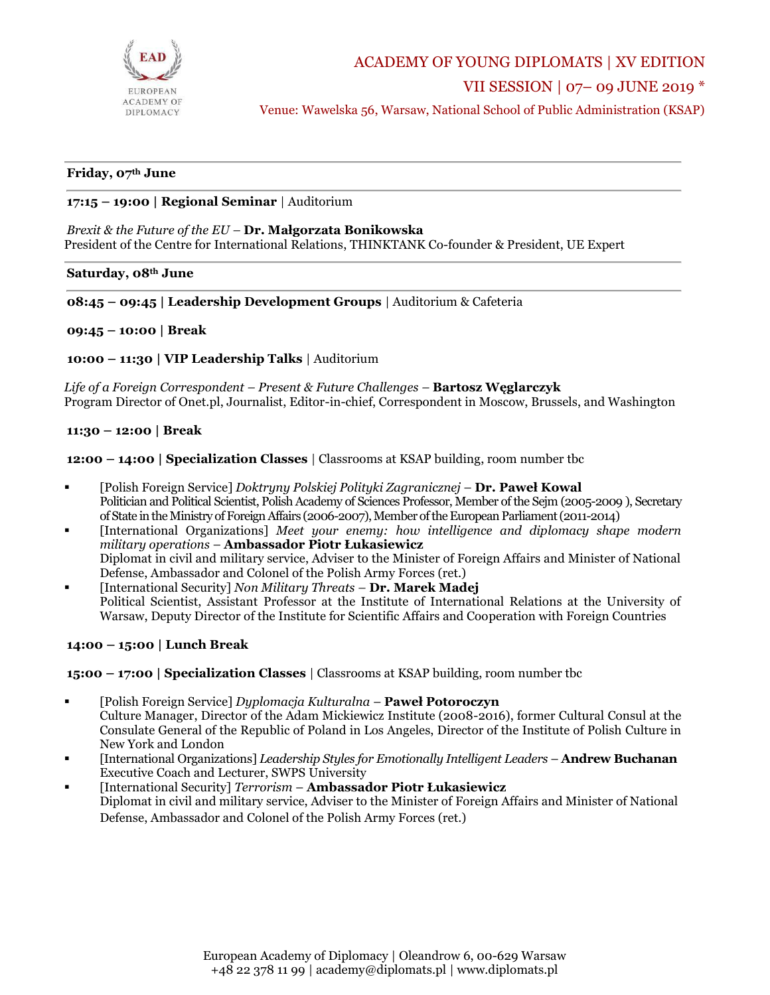

ACADEMY OF YOUNG DIPLOMATS | XV EDITION

VII SESSION | 07– 09 JUNE 2019 \*

Venue: Wawelska 56, Warsaw, National School of Public Administration (KSAP)

# **Friday, 07th June**

## **17:15 – 19:00 | Regional Seminar** | Auditorium

#### *Brexit & the Future of the EU –* **Dr. Małgorzata Bonikowska**

President of the Centre for International Relations, THINKTANK Co-founder & President, UE Expert

#### **Saturday, 08th June**

#### **08:45 – 09:45 | Leadership Development Groups** | Auditorium & Cafeteria

### **09:45 – 10:00 | Break**

**10:00 – 11:30 | VIP Leadership Talks** | Auditorium

*Life of a Foreign Correspondent – Present & Future Challenges –* **Bartosz Węglarczyk** Program Director of Onet.pl, Journalist, Editor-in-chief, Correspondent in Moscow, Brussels, and Washington

## **11:30 – 12:00 | Break**

**12:00 – 14:00 | Specialization Classes** | Classrooms at KSAP building, room number tbc

- [Polish Foreign Service] *Doktryny Polskiej Polityki Zagranicznej* **Dr. Paweł Kowal** Politician and Political Scientist, Polish Academy of Sciences Professor, Member of the Sejm (2005-2009 ), Secretary of State in the Ministry of Foreign Affairs (2006-2007), Member of the European Parliament(2011-2014)
- [International Organizations] *Meet your enemy: how intelligence and diplomacy shape modern military operations* – **Ambassador Piotr Łukasiewicz** Diplomat in civil and military service, Adviser to the Minister of Foreign Affairs and Minister of National Defense, Ambassador and Colonel of the Polish Army Forces (ret.)
- [International Security] *Non Military Threats –* **Dr. Marek Madej** Political Scientist, Assistant Professor at the Institute of International Relations at the University of Warsaw, Deputy Director of the Institute for Scientific Affairs and Cooperation with Foreign Countries

## **14:00 – 15:00 | Lunch Break**

**15:00 – 17:00 | Specialization Classes** | Classrooms at KSAP building, room number tbc

- [Polish Foreign Service] *Dyplomacja Kulturalna* **Paweł Potoroczyn** Culture Manager, Director of the Adam Mickiewicz Institute (2008-2016), former Cultural Consul at the Consulate General of the Republic of Poland in Los Angeles, Director of the Institute of Polish Culture in New York and London
- [International Organizations] *Leadership Styles for Emotionally Intelligent Leaders* **Andrew Buchanan** Executive Coach and Lecturer, SWPS University
- [International Security] *Terrorism* **Ambassador Piotr Łukasiewicz** Diplomat in civil and military service, Adviser to the Minister of Foreign Affairs and Minister of National Defense, Ambassador and Colonel of the Polish Army Forces (ret.)